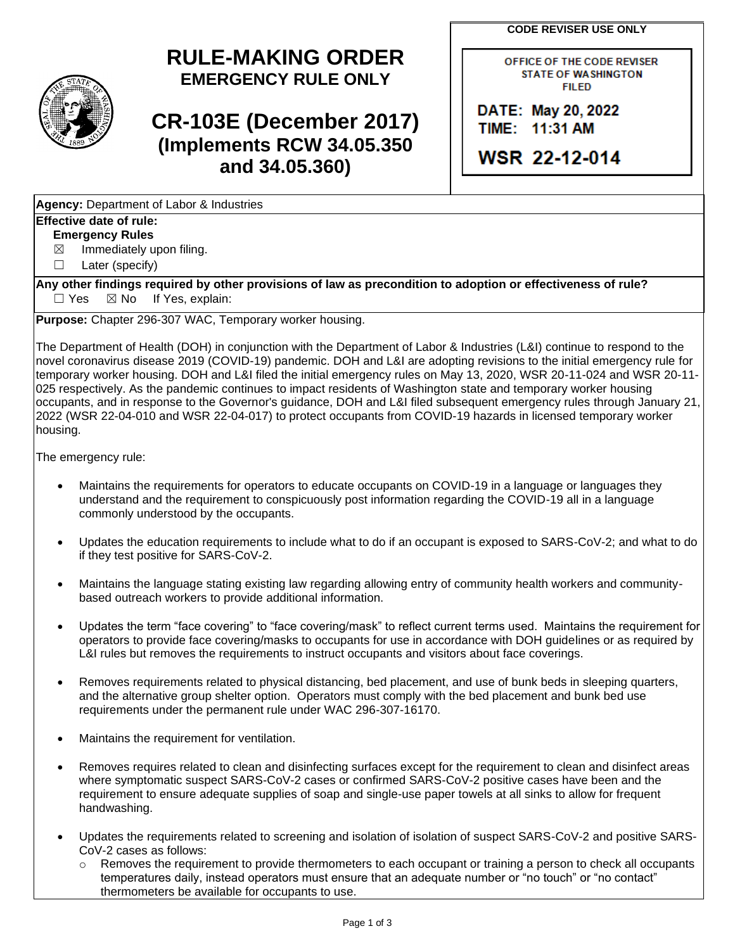**CODE REVISER USE ONLY**

## **RULE-MAKING ORDER EMERGENCY RULE ONLY**

# **CR-103E (December 2017) (Implements RCW 34.05.350 and 34.05.360)**

**Agency:** Department of Labor & Industries

#### **Effective date of rule:**

**Emergency Rules**

 $\boxtimes$  Immediately upon filing.

☐ Later (specify)

**Any other findings required by other provisions of law as precondition to adoption or effectiveness of rule?**  $\Box$  Yes  $\boxtimes$  No If Yes, explain:

**Purpose:** Chapter 296-307 WAC, Temporary worker housing.

The Department of Health (DOH) in conjunction with the Department of Labor & Industries (L&I) continue to respond to the novel coronavirus disease 2019 (COVID-19) pandemic. DOH and L&I are adopting revisions to the initial emergency rule for temporary worker housing. DOH and L&I filed the initial emergency rules on May 13, 2020, WSR 20-11-024 and WSR 20-11- 025 respectively. As the pandemic continues to impact residents of Washington state and temporary worker housing occupants, and in response to the Governor's guidance, DOH and L&I filed subsequent emergency rules through January 21, 2022 (WSR 22-04-010 and WSR 22-04-017) to protect occupants from COVID-19 hazards in licensed temporary worker housing.

The emergency rule:

- Maintains the requirements for operators to educate occupants on COVID-19 in a language or languages they understand and the requirement to conspicuously post information regarding the COVID-19 all in a language commonly understood by the occupants.
- Updates the education requirements to include what to do if an occupant is exposed to SARS-CoV-2; and what to do if they test positive for SARS-CoV-2.
- Maintains the language stating existing law regarding allowing entry of community health workers and communitybased outreach workers to provide additional information.
- Updates the term "face covering" to "face covering/mask" to reflect current terms used. Maintains the requirement for operators to provide face covering/masks to occupants for use in accordance with DOH guidelines or as required by L&I rules but removes the requirements to instruct occupants and visitors about face coverings.
- Removes requirements related to physical distancing, bed placement, and use of bunk beds in sleeping quarters, and the alternative group shelter option. Operators must comply with the bed placement and bunk bed use requirements under the permanent rule under WAC 296-307-16170.
- Maintains the requirement for ventilation.
- Removes requires related to clean and disinfecting surfaces except for the requirement to clean and disinfect areas where symptomatic suspect SARS-CoV-2 cases or confirmed SARS-CoV-2 positive cases have been and the requirement to ensure adequate supplies of soap and single-use paper towels at all sinks to allow for frequent handwashing.
- Updates the requirements related to screening and isolation of isolation of suspect SARS-CoV-2 and positive SARS-CoV-2 cases as follows:
	- $\circ$  Removes the requirement to provide thermometers to each occupant or training a person to check all occupants temperatures daily, instead operators must ensure that an adequate number or "no touch" or "no contact" thermometers be available for occupants to use.

OFFICE OF THE CODE REVISER **STATE OF WASHINGTON FILED** 

DATE: May 20, 2022 TIME: 11:31 AM

WSR 22-12-014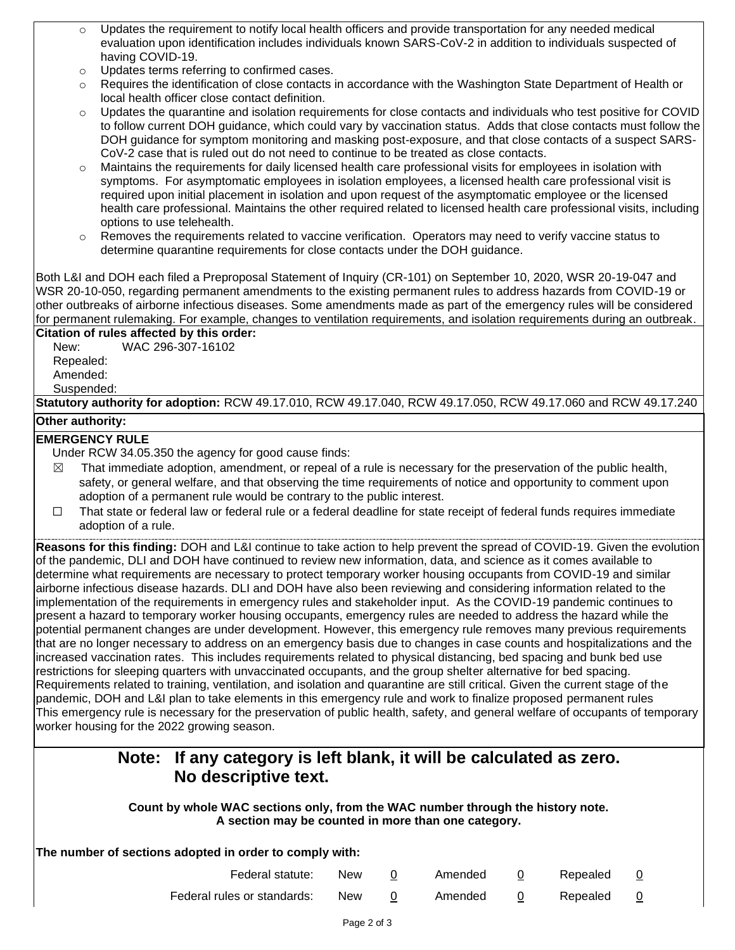- $\circ$  Updates the requirement to notify local health officers and provide transportation for any needed medical evaluation upon identification includes individuals known SARS-CoV-2 in addition to individuals suspected of having COVID-19.
- o Updates terms referring to confirmed cases.
- o Requires the identification of close contacts in accordance with the Washington State Department of Health or local health officer close contact definition.
- o Updates the quarantine and isolation requirements for close contacts and individuals who test positive for COVID to follow current DOH guidance, which could vary by vaccination status. Adds that close contacts must follow the DOH guidance for symptom monitoring and masking post-exposure, and that close contacts of a suspect SARS-CoV-2 case that is ruled out do not need to continue to be treated as close contacts.
- Maintains the requirements for daily licensed health care professional visits for employees in isolation with symptoms. For asymptomatic employees in isolation employees, a licensed health care professional visit is required upon initial placement in isolation and upon request of the asymptomatic employee or the licensed health care professional. Maintains the other required related to licensed health care professional visits, including options to use telehealth.
- $\circ$  Removes the requirements related to vaccine verification. Operators may need to verify vaccine status to determine quarantine requirements for close contacts under the DOH guidance.

Both L&I and DOH each filed a Preproposal Statement of Inquiry (CR-101) on September 10, 2020, WSR 20-19-047 and WSR 20-10-050, regarding permanent amendments to the existing permanent rules to address hazards from COVID-19 or other outbreaks of airborne infectious diseases. Some amendments made as part of the emergency rules will be considered for permanent rulemaking. For example, changes to ventilation requirements, and isolation requirements during an outbreak.

**Citation of rules affected by this order:** New: WAC 296-307-16102

Repealed:

Amended: Suspended:

**Statutory authority for adoption:** RCW 49.17.010, RCW 49.17.040, RCW 49.17.050, RCW 49.17.060 and RCW 49.17.240

#### **Other authority:**

### **EMERGENCY RULE**

Under RCW 34.05.350 the agency for good cause finds:

- $\boxtimes$  That immediate adoption, amendment, or repeal of a rule is necessary for the preservation of the public health, safety, or general welfare, and that observing the time requirements of notice and opportunity to comment upon adoption of a permanent rule would be contrary to the public interest.
- ☐ That state or federal law or federal rule or a federal deadline for state receipt of federal funds requires immediate adoption of a rule.

**Reasons for this finding:** DOH and L&I continue to take action to help prevent the spread of COVID-19. Given the evolution of the pandemic, DLI and DOH have continued to review new information, data, and science as it comes available to determine what requirements are necessary to protect temporary worker housing occupants from COVID-19 and similar airborne infectious disease hazards. DLI and DOH have also been reviewing and considering information related to the implementation of the requirements in emergency rules and stakeholder input. As the COVID-19 pandemic continues to present a hazard to temporary worker housing occupants, emergency rules are needed to address the hazard while the potential permanent changes are under development. However, this emergency rule removes many previous requirements that are no longer necessary to address on an emergency basis due to changes in case counts and hospitalizations and the increased vaccination rates. This includes requirements related to physical distancing, bed spacing and bunk bed use restrictions for sleeping quarters with unvaccinated occupants, and the group shelter alternative for bed spacing. Requirements related to training, ventilation, and isolation and quarantine are still critical. Given the current stage of the pandemic, DOH and L&I plan to take elements in this emergency rule and work to finalize proposed permanent rules This emergency rule is necessary for the preservation of public health, safety, and general welfare of occupants of temporary worker housing for the 2022 growing season.

### **Note: If any category is left blank, it will be calculated as zero. No descriptive text.**

**Count by whole WAC sections only, from the WAC number through the history note. A section may be counted in more than one category.**

| The number of sections adopted in order to comply with: |                             |            |  |         |  |          |   |  |  |  |  |  |
|---------------------------------------------------------|-----------------------------|------------|--|---------|--|----------|---|--|--|--|--|--|
|                                                         | Federal statute:            | <b>New</b> |  | Amended |  | Repealed | 0 |  |  |  |  |  |
|                                                         | Federal rules or standards: | <b>New</b> |  | Amended |  | Repealed |   |  |  |  |  |  |